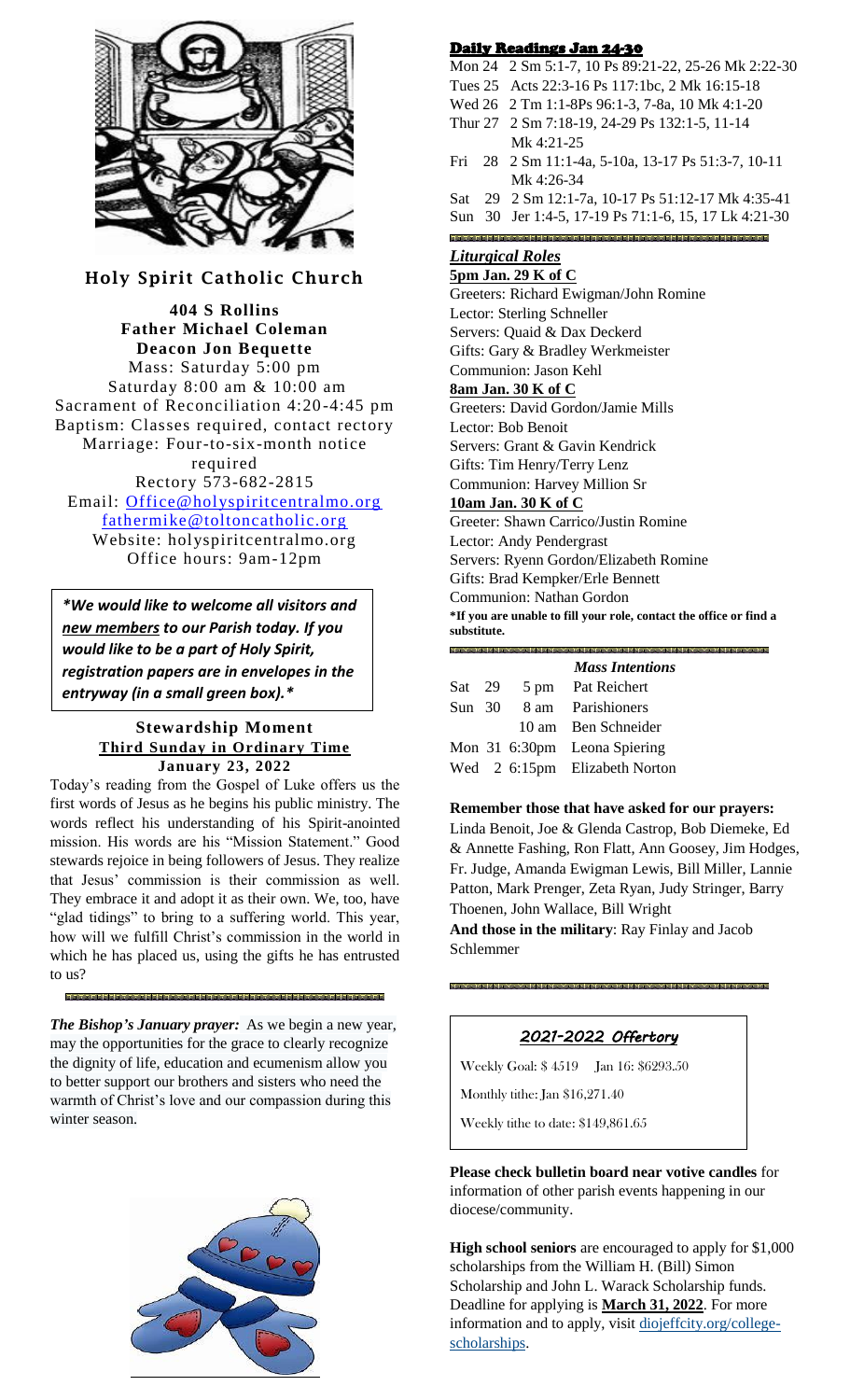

**Holy Spirit Catholic Church**

**404 S Rollins Father Michael Coleman Deacon Jon Bequette** Mass: Saturday 5:00 pm Saturday 8:00 am & 10:00 am Sacrament of Reconciliation 4:20 -4:45 pm Baptism: Classes required, contact rectory Marriage: Four-to-six-month notice required Rectory 573-682-2815 Email: [Office@holyspiritcentralmo.org](mailto:Office@holyspiritcentralmo.org) [fathermike@toltoncatholic.org](mailto:fathermike@toltoncatholic.org) Website: holyspiritcentralmo.org Office hours: 9am-12pm

*\*We would like to welcome all visitors and new members to our Parish today. If you would like to be a part of Holy Spirit, registration papers are in envelopes in the entryway (in a small green box).\**

# **Stewardship Moment Third Sunday in Ordinary Time January 23, 2022**

Today's reading from the Gospel of Luke offers us the first words of Jesus as he begins his public ministry. The words reflect his understanding of his Spirit-anointed mission. His words are his "Mission Statement." Good stewards rejoice in being followers of Jesus. They realize that Jesus' commission is their commission as well. They embrace it and adopt it as their own. We, too, have "glad tidings" to bring to a suffering world. This year, how will we fulfill Christ's commission in the world in which he has placed us, using the gifts he has entrusted to us?

*The Bishop's January prayer:* As we begin a new year, may the opportunities for the grace to clearly recognize the dignity of life, education and ecumenism allow you to better support our brothers and sisters who need the warmth of Christ's love and our compassion during this winter season.



# Daily Readings Jan 24-30

- Mon 24 2 Sm 5:1-7, 10 Ps 89:21-22, 25-26 Mk 2:22-30
- Tues 25 Acts 22:3-16 Ps 117:1bc, 2 Mk 16:15-18
- Wed 26 2 Tm 1:1-8Ps 96:1-3, 7-8a, 10 Mk 4:1-20 Thur 27 2 Sm 7:18-19, 24-29 Ps 132:1-5, 11-14 Mk 4:21-25
- Fri 28 2 Sm 11:1-4a, 5-10a, 13-17 Ps 51:3-7, 10-11 Mk 4:26-34
- Sat 29 2 Sm 12:1-7a, 10-17 Ps 51:12-17 Mk 4:35-41
- Sun 30 Jer 1:4-5, 17-19 Ps 71:1-6, 15, 17 Lk 4:21-30

# *Liturgical Roles*

### **5pm Jan. 29 K of C**

Greeters: Richard Ewigman/John Romine Lector: Sterling Schneller Servers: Quaid & Dax Deckerd Gifts: Gary & Bradley Werkmeister Communion: Jason Kehl **8am Jan. 30 K of C** Greeters: David Gordon/Jamie Mills Lector: Bob Benoit Servers: Grant & Gavin Kendrick Gifts: Tim Henry/Terry Lenz Communion: Harvey Million Sr **10am Jan. 30 K of C** Greeter: Shawn Carrico/Justin Romine Lector: Andy Pendergrast Servers: Ryenn Gordon/Elizabeth Romine Gifts: Brad Kempker/Erle Bennett

Communion: Nathan Gordon

**\*If you are unable to fill your role, contact the office or find a substitute.** 

|                |  | <b>Mass Intentions</b>        |
|----------------|--|-------------------------------|
| Sat 29         |  | 5 pm Pat Reichert             |
| $Sun \quad 30$ |  | 8 am Parishioners             |
|                |  | 10 am Ben Schneider           |
|                |  | Mon 31 6:30pm Leona Spiering  |
|                |  | Wed 2 6:15pm Elizabeth Norton |

# **Remember those that have asked for our prayers:**

Linda Benoit, Joe & Glenda Castrop, Bob Diemeke, Ed & Annette Fashing, Ron Flatt, Ann Goosey, Jim Hodges, Fr. Judge, Amanda Ewigman Lewis, Bill Miller, Lannie Patton, Mark Prenger, Zeta Ryan, Judy Stringer, Barry Thoenen, John Wallace, Bill Wright

**And those in the military**: Ray Finlay and Jacob Schlemmer

# *2021-2022 Offertory*

Weekly Goal: \$ 4519 Jan 16: \$6293.50

Monthly tithe: Jan \$16,271.40

Weekly tithe to date: \$149,861.65

**Please check bulletin board near votive candles** for information of other parish events happening in our diocese/community.

**High school seniors** are encouraged to apply for \$1,000 scholarships from the William H. (Bill) Simon Scholarship and John L. Warack Scholarship funds. Deadline for applying is **March 31, 2022**. For more information and to apply, visit [diojeffcity.org/college](https://diojeffcity.org/college-scholarships/)[scholarships.](https://diojeffcity.org/college-scholarships/)